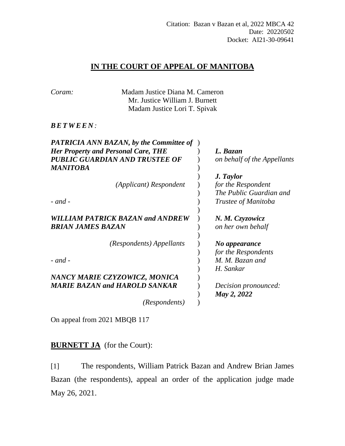## **IN THE COURT OF APPEAL OF MANITOBA**

| Coram:                                                                                                                           | Madam Justice Diana M. Cameron<br>Mr. Justice William J. Burnett<br>Madam Justice Lori T. Spivak |                                                                                   |
|----------------------------------------------------------------------------------------------------------------------------------|--------------------------------------------------------------------------------------------------|-----------------------------------------------------------------------------------|
| <i>BETWEEN:</i>                                                                                                                  |                                                                                                  |                                                                                   |
| <b>PATRICIA ANN BAZAN, by the Committee of</b> )<br><b>Her Property and Personal Care, THE</b><br>PUBLIC GUARDIAN AND TRUSTEE OF |                                                                                                  | L. Bazan<br>on behalf of the Appellants                                           |
| MANITOBA<br>$-$ and $-$                                                                                                          | (Applicant) Respondent                                                                           | J. Taylor<br>for the Respondent<br>The Public Guardian and<br>Trustee of Manitoba |
| BRIAN JAMES BAZAN                                                                                                                | <b>WILLIAM PATRICK BAZAN and ANDREW</b>                                                          | N. M. Czyzowicz<br>on her own behalf                                              |
| $-$ and $-$                                                                                                                      | (Respondents) Appellants                                                                         | No appearance<br>for the Respondents<br>M. M. Bazan and<br>H. Sankar              |
|                                                                                                                                  | NANCY MARIE CZYZOWICZ, MONICA<br><b>MARIE BAZAN and HAROLD SANKAR</b><br>(Respondents)           | Decision pronounced:<br>May 2, 2022                                               |

On appeal from 2021 MBQB 117

**BURNETT JA** (for the Court):

[1] The respondents, William Patrick Bazan and Andrew Brian James Bazan (the respondents), appeal an order of the application judge made May 26, 2021.